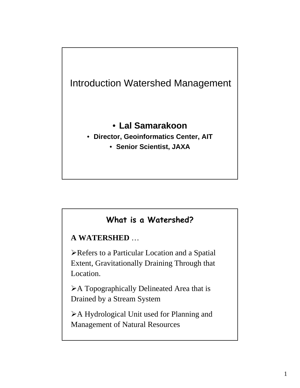

### **What is a Watershed?**

**A WATERSHED** …

¾Refers to a Particular Location and a Spatial Extent, Gravitationally Draining Through that Location.

¾A Topographically Delineated Area that is Drained by a Stream System

¾A Hydrological Unit used for Planning and Management of Natural Resources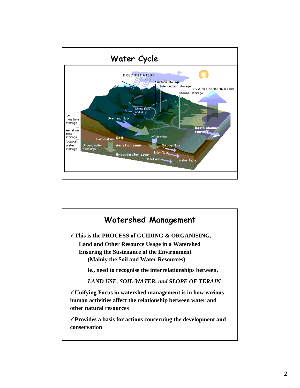

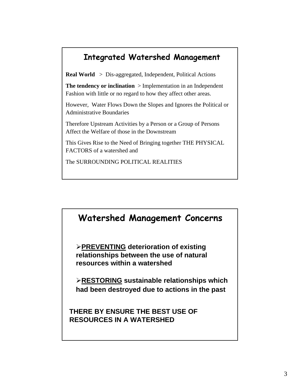### **Integrated Watershed Management**

**Real World** > Dis-aggregated, Independent, Political Actions

**The tendency or inclination** > Implementation in an Independent Fashion with little or no regard to how they affect other areas.

However, Water Flows Down the Slopes and Ignores the Political or Administrative Boundaries

Therefore Upstream Activities by a Person or a Group of Persons Affect the Welfare of those in the Downstream

This Gives Rise to the Need of Bringing together THE PHYSICAL FACTORS of a watershed and

The SURROUNDING POLITICAL REALITIES

### **Watershed Management Concerns**

¾**PREVENTING deterioration of existing relationships between the use of natural resources within a watershed**

¾**RESTORING sustainable relationships which had been destroyed due to actions in the past**

**THERE BY ENSURE THE BEST USE OF RESOURCES IN A WATERSHED**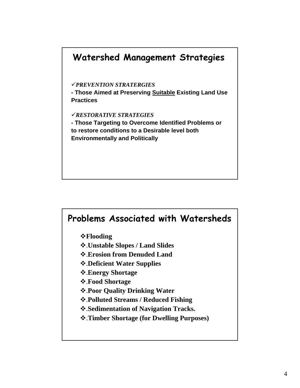

### **Problems Associated with Watersheds**

*<b>∻Flooding* 

- .**Unstable Slopes / Land Slides**
- .**Erosion from Denuded Land**
- .**Deficient Water Supplies**
- .**Energy Shortage**
- .**Food Shortage**
- .**Poor Quality Drinking Water**
- .**Polluted Streams / Reduced Fishing**
- .**Sedimentation of Navigation Tracks.**
- .**Timber Shortage (for Dwelling Purposes)**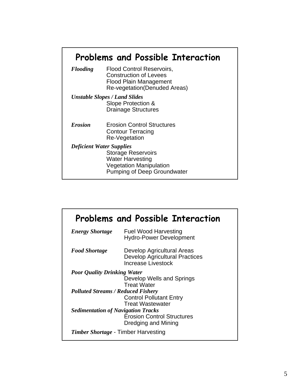# **Problems and Possible Interaction**

| <b>Flooding</b>                 | <b>Flood Control Reservoirs,</b><br><b>Construction of Levees</b><br><b>Flood Plain Management</b><br>Re-vegetation(Denuded Areas) |
|---------------------------------|------------------------------------------------------------------------------------------------------------------------------------|
|                                 | <b>Unstable Slopes / Land Slides</b>                                                                                               |
|                                 | Slope Protection &                                                                                                                 |
|                                 | <b>Drainage Structures</b>                                                                                                         |
|                                 |                                                                                                                                    |
| <b>Erosion</b>                  | <b>Erosion Control Structures</b>                                                                                                  |
|                                 | <b>Contour Terracing</b>                                                                                                           |
|                                 | Re-Vegetation                                                                                                                      |
| <b>Deficient Water Supplies</b> |                                                                                                                                    |
|                                 | <b>Storage Reservoirs</b>                                                                                                          |
|                                 | <b>Water Harvesting</b>                                                                                                            |
|                                 | <b>Vegetation Manipulation</b>                                                                                                     |
|                                 |                                                                                                                                    |
|                                 | Pumping of Deep Groundwater                                                                                                        |

|                                            | <b>Problems and Possible Interaction</b>                                                  |
|--------------------------------------------|-------------------------------------------------------------------------------------------|
| <b>Energy Shortage</b>                     | Fuel Wood Harvesting<br><b>Hydro-Power Development</b>                                    |
| <b>Food Shortage</b>                       | Develop Agricultural Areas<br><b>Develop Agricultural Practices</b><br>Increase Livestock |
| <b>Poor Quality Drinking Water</b>         |                                                                                           |
|                                            | Develop Wells and Springs<br><b>Treat Water</b>                                           |
| <b>Polluted Streams / Reduced Fishery</b>  |                                                                                           |
|                                            | <b>Control Pollutant Entry</b>                                                            |
|                                            | <b>Treat Wastewater</b>                                                                   |
| <b>Sedimentation of Navigation Tracks</b>  |                                                                                           |
|                                            | <b>Erosion Control Structures</b><br>Dredging and Mining                                  |
| <i>Timber Shortage</i> - Timber Harvesting |                                                                                           |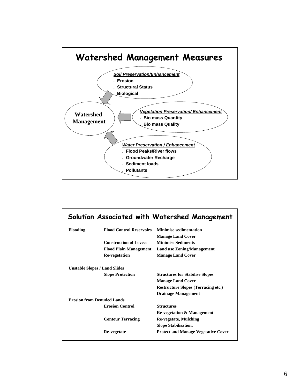

|                                      |                                 | Solution Associated with Watershed Management |
|--------------------------------------|---------------------------------|-----------------------------------------------|
| <b>Flooding</b>                      | <b>Flood Control Reservoirs</b> | <b>Minimise sedimentation</b>                 |
|                                      |                                 | <b>Manage Land Cover</b>                      |
|                                      | <b>Construction of Levees</b>   | <b>Minimise Sediments</b>                     |
|                                      | <b>Flood Plain Management</b>   | <b>Land use Zoning/Management</b>             |
|                                      | <b>Re-vegetation</b>            | <b>Manage Land Cover</b>                      |
| <b>Unstable Slopes / Land Slides</b> |                                 |                                               |
|                                      | <b>Slope Protection</b>         | <b>Structures for Stabilise Slopes</b>        |
|                                      |                                 | <b>Manage Land Cover</b>                      |
|                                      |                                 | <b>Restructure Slopes (Terracing etc.)</b>    |
|                                      |                                 | <b>Drainage Management</b>                    |
| <b>Erosion from Denuded Lands</b>    |                                 |                                               |
|                                      | <b>Erosion Control</b>          | <b>Structures</b>                             |
|                                      |                                 | <b>Re-vegetation &amp; Management</b>         |
|                                      | <b>Contour Terracing</b>        | <b>Re-vegetate, Mulching</b>                  |
|                                      |                                 | <b>Slope Stabilisation,</b>                   |
|                                      | Re-vegetate                     | <b>Protect and Manage Vegetative Cover</b>    |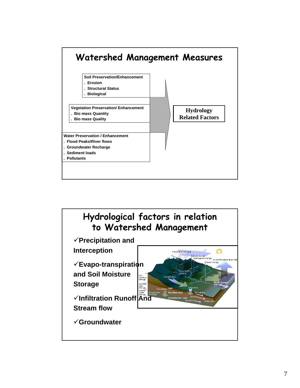

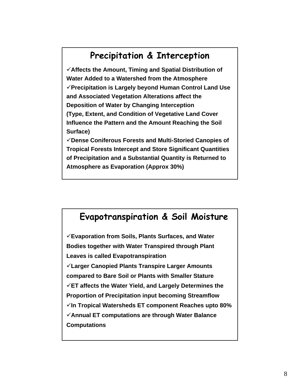## **Precipitation & Interception**

9**Affects the Amount, Timing and Spatial Distribution of Water Added to a Watershed from the Atmosphere** 9**Precipitation is Largely beyond Human Control Land Use and Associated Vegetation Alterations affect the Deposition of Water by Changing Interception (Type, Extent, and Condition of Vegetative Land Cover Influence the Pattern and the Amount Reaching the Soil Surface)**

9**Dense Coniferous Forests and Multi-Storied Canopies of Tropical Forests Intercept and Store Significant Quantities of Precipitation and a Substantial Quantity is Returned to Atmosphere as Evaporation (Approx 30%)**

### **Evapotranspiration & Soil Moisture**

9**Evaporation from Soils, Plants Surfaces, and Water Bodies together with Water Transpired through Plant Leaves is called Evapotranspiration** 9**Larger Canopied Plants Transpire Larger Amounts compared to Bare Soil or Plants with Smaller Stature** 9**ET affects the Water Yield, and Largely Determines the Proportion of Precipitation input becoming Streamflow** 9**In Tropical Watersheds ET component Reaches upto 80%** 9**Annual ET computations are through Water Balance Computations**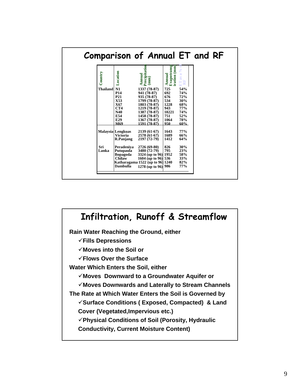|                 |                                                          | Comparison of Annual ET and RF                                             |                                       |                                                            |
|-----------------|----------------------------------------------------------|----------------------------------------------------------------------------|---------------------------------------|------------------------------------------------------------|
| Country         | Location                                                 | Precipitation<br>Annual<br>$\overline{\text{mm}}$                          | Annual<br>Evapotransp<br>iration (mm) | $\frac{1}{2}$<br>$\overline{\mathcal{C}}$<br>as:<br>È<br>É |
| <b>Thailand</b> | N1<br><b>P14</b><br>P <sub>21</sub>                      | 1337 (78-87)<br>941 (78-87)<br>935 (78-87)                                 | 725<br>692<br>676                     | 54%<br>74%<br>72%                                          |
|                 | X53<br>X67<br>CT4<br>N40                                 | 1799 (78-87)<br>1803 (78-87)<br>1219 (78-87)                               | 534<br>1228<br>943<br>10221           | 30%<br>68%<br>77%                                          |
|                 | E54<br>E29<br>M69                                        | 1387 (78-87)<br>1458 (78-87)<br>1367 (78-87)<br>1591 (78-87)               | 751<br>1064<br>950                    | 74%<br>52%<br>78%<br>60%                                   |
|                 | <b>Malaysia</b> Lengkuas<br><b>Victoria</b><br>R.Panjang | 2139 (61-67)<br>2578 (61-67)<br>2197 (72-79)                               | 1643<br>1689<br>1412                  | 77%<br>66%<br>64%                                          |
| Sri<br>Lanka    | Peradeniya<br>Putupaula<br><b>Bopagoda</b>               | 2726 (69-80)<br>3480 (72-79)<br>3324 (up to 96) 1952                       | 826<br>795                            | 30%<br>23%<br>58%                                          |
|                 | Chilaw<br>Dambulla                                       | 1604 (up to 96) 536<br>Katharagama 1522 (up to 96) 1240<br>1278 (up to 96) | 986                                   | 33%<br>82%<br>77%                                          |

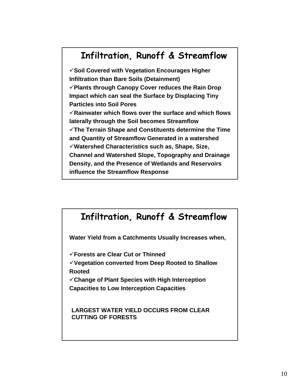## **Infiltration, Runoff & Streamflow**

9**Soil Covered with Vegetation Encourages Higher Infiltration than Bare Soils (Detainment)**  9**Plants through Canopy Cover reduces the Rain Drop Impact which can seal the Surface by Displacing Tiny Particles into Soil Pores**  9**Rainwater which flows over the surface and which flows laterally through the Soil becomes Streamflow** 9**The Terrain Shape and Constituents determine the Time and Quantity of Streamflow Generated in a watershed** 9**Watershed Characteristics such as, Shape, Size, Channel and Watershed Slope, Topography and Drainage Density, and the Presence of Wetlands and Reservoirs influence the Streamflow Response**

# **Infiltration, Runoff & Streamflow Water Yield from a Catchments Usually Increases when,** 9**Forests are Clear Cut or Thinned** 9**Vegetation converted from Deep Rooted to Shallow Rooted** 9**Change of Plant Species with High Interception Capacities to Low Interception Capacities LARGEST WATER YIELD OCCURS FROM CLEAR**

**CUTTING OF FORESTS**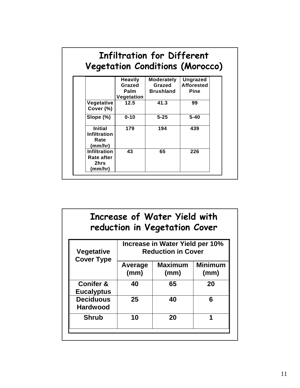|                                                          |                                                | <b>Vegetation Conditions (Morocco)</b>          |                                              |
|----------------------------------------------------------|------------------------------------------------|-------------------------------------------------|----------------------------------------------|
|                                                          | <b>Heavily</b><br>Grazed<br>Palm<br>Vegetation | <b>Moderately</b><br>Grazed<br><b>Brushland</b> | Ungrazed<br><b>Afforested</b><br><b>Pine</b> |
| Vegetative<br>Cover (%)                                  | 12.5                                           | 41.3                                            | 99                                           |
| Slope $(\%)$                                             | $0 - 10$                                       | $5 - 25$                                        | $5 - 40$                                     |
| <b>Initial</b><br><b>Infiltration</b><br>Rate<br>(mm/hr) | 179                                            | 194                                             | 439                                          |
| <b>Infiltration</b><br>Rate after<br>2hrs<br>(mm/hr)     | 43                                             | 65                                              | 226                                          |

|                                           |                                                              | Increase of Water Yield with<br>reduction in Vegetation Cover |                        |  |  |
|-------------------------------------------|--------------------------------------------------------------|---------------------------------------------------------------|------------------------|--|--|
| <b>Vegetative</b><br><b>Cover Type</b>    | Increase in Water Yield per 10%<br><b>Reduction in Cover</b> |                                                               |                        |  |  |
|                                           | Average<br>(mm)                                              | <b>Maximum</b><br>(mm)                                        | <b>Minimum</b><br>(mm) |  |  |
| <b>Conifer &amp;</b><br><b>Eucalyptus</b> | 40                                                           | 65                                                            | 20                     |  |  |
| <b>Deciduous</b><br><b>Hardwood</b>       | 25                                                           | 40                                                            | 6                      |  |  |
| <b>Shrub</b>                              | 10                                                           | 20                                                            | 1                      |  |  |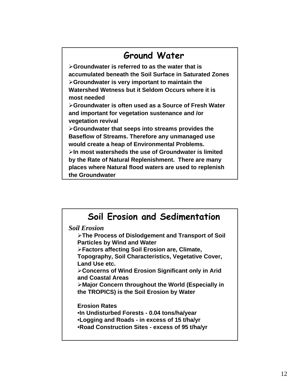### **Ground Water**

¾**Groundwater is referred to as the water that is accumulated beneath the Soil Surface in Saturated Zones**  ¾**Groundwater is very important to maintain the Watershed Wetness but it Seldom Occurs where it is most needed**

¾**Groundwater is often used as a Source of Fresh Water and important for vegetation sustenance and /or vegetation revival**

¾**Groundwater that seeps into streams provides the Baseflow of Streams. Therefore any unmanaged use would create a heap of Environmental Problems.** ¾**In most watersheds the use of Groundwater is limited** 

**by the Rate of Natural Replenishment. There are many places where Natural flood waters are used to replenish the Groundwater**

# **Soil Erosion and Sedimentation**

*Soil Erosion*

¾**The Process of Dislodgement and Transport of Soil Particles by Wind and Water**

¾**Factors affecting Soil Erosion are, Climate,** 

**Topography, Soil Characteristics, Vegetative Cover, Land Use etc.**

¾**Concerns of Wind Erosion Significant only in Arid and Coastal Areas**

¾**Major Concern throughout the World (Especially in the TROPICS) is the Soil Erosion by Water**

**Erosion Rates**

•**In Undisturbed Forests - 0.04 tons/ha/year** •**Logging and Roads - in excess of 15 t/ha/yr** •**Road Construction Sites - excess of 95 t/ha/yr**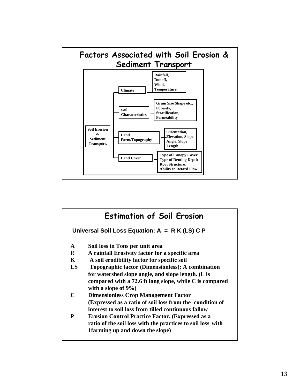

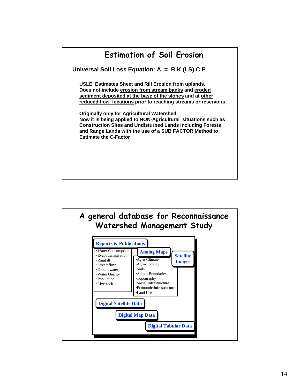

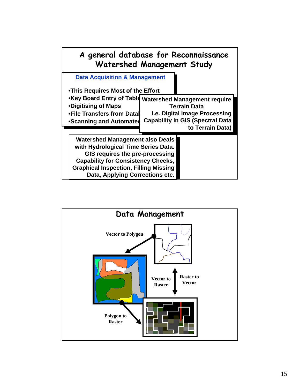

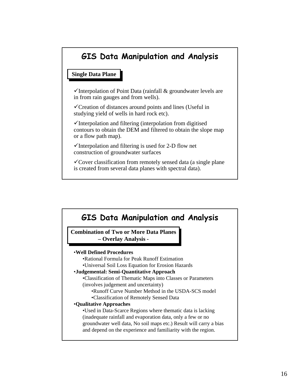### **GIS Data Manipulation and Analysis**

#### **Single Data Plane Single Data Plane**

 $\checkmark$ Interpolation of Point Data (rainfall & groundwater levels are in from rain gauges and from wells).

 $\checkmark$ Creation of distances around points and lines (Useful in studying yield of wells in hard rock etc).

 $\checkmark$ Interpolation and filtering (interpolation from digitised contours to obtain the DEM and filtered to obtain the slope map or a flow path map).

 $\checkmark$ Interpolation and filtering is used for 2-D flow net construction of groundwater surfaces

 $\checkmark$  Cover classification from remotely sensed data (a single plane) is created from several data planes with spectral data).

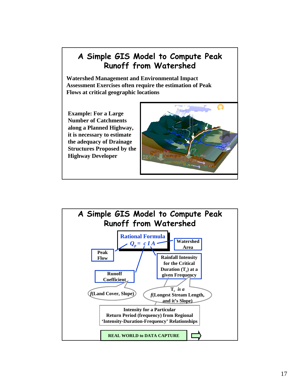#### **A Simple GIS Model to Compute Peak Runoff from Watershed**

**Watershed Management and Environmental Impact Assessment Exercises often require the estimation of Peak Flows at critical geographic locations**

**Example: For a Large Number of Catchments along a Planned Highway, it is necessary to estimate the adequacy of Drainage Structures Proposed by the Highway Developer**